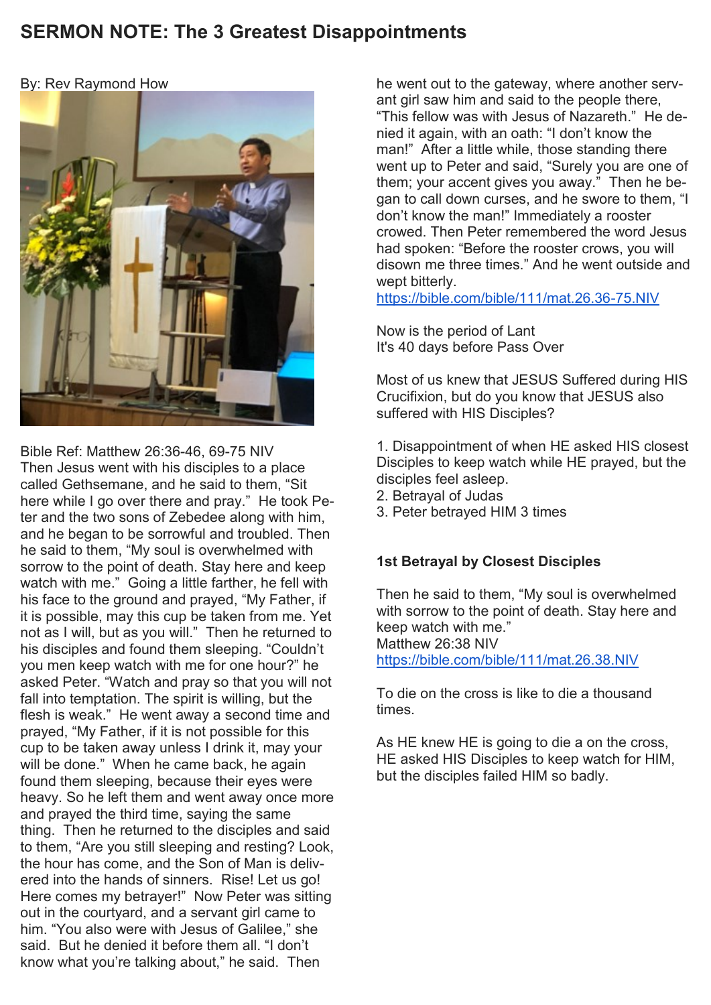# **SERMON NOTE: The 3 Greatest Disappointments**

## By: Rev Raymond How



Bible Ref: Matthew 26:36-46, 69-75 NIV Then Jesus went with his disciples to a place called Gethsemane, and he said to them, "Sit here while I go over there and pray." He took Peter and the two sons of Zebedee along with him, and he began to be sorrowful and troubled. Then he said to them, "My soul is overwhelmed with sorrow to the point of death. Stay here and keep watch with me." Going a little farther, he fell with his face to the ground and prayed, "My Father, if it is possible, may this cup be taken from me. Yet not as I will, but as you will." Then he returned to his disciples and found them sleeping. "Couldn't you men keep watch with me for one hour?" he asked Peter. "Watch and pray so that you will not fall into temptation. The spirit is willing, but the flesh is weak." He went away a second time and prayed, "My Father, if it is not possible for this cup to be taken away unless I drink it, may your will be done." When he came back, he again found them sleeping, because their eyes were heavy. So he left them and went away once more and prayed the third time, saying the same thing. Then he returned to the disciples and said to them, "Are you still sleeping and resting? Look, the hour has come, and the Son of Man is delivered into the hands of sinners. Rise! Let us go! Here comes my betrayer!" Now Peter was sitting out in the courtyard, and a servant girl came to him. "You also were with Jesus of Galilee," she said. But he denied it before them all. "I don't know what you're talking about," he said. Then

he went out to the gateway, where another servant girl saw him and said to the people there. "This fellow was with Jesus of Nazareth." He denied it again, with an oath: "I don't know the man!" After a little while, those standing there went up to Peter and said, "Surely you are one of them; your accent gives you away." Then he began to call down curses, and he swore to them, "I don't know the man!" Immediately a rooster crowed. Then Peter remembered the word Jesus had spoken: "Before the rooster crows, you will disown me three times." And he went outside and wept bitterly.

<https://bible.com/bible/111/mat.26.36-75.NIV>

Now is the period of Lant It's 40 days before Pass Over

Most of us knew that JESUS Suffered during HIS Crucifixion, but do you know that JESUS also suffered with HIS Disciples?

1. Disappointment of when HE asked HIS closest Disciples to keep watch while HE prayed, but the disciples feel asleep.

- 2. Betrayal of Judas
- 3. Peter betrayed HIM 3 times

# **1st Betrayal by Closest Disciples**

Then he said to them, "My soul is overwhelmed with sorrow to the point of death. Stay here and keep watch with me." Matthew 26:38 NIV <https://bible.com/bible/111/mat.26.38.NIV>

To die on the cross is like to die a thousand times.

As HE knew HE is going to die a on the cross, HE asked HIS Disciples to keep watch for HIM, but the disciples failed HIM so badly.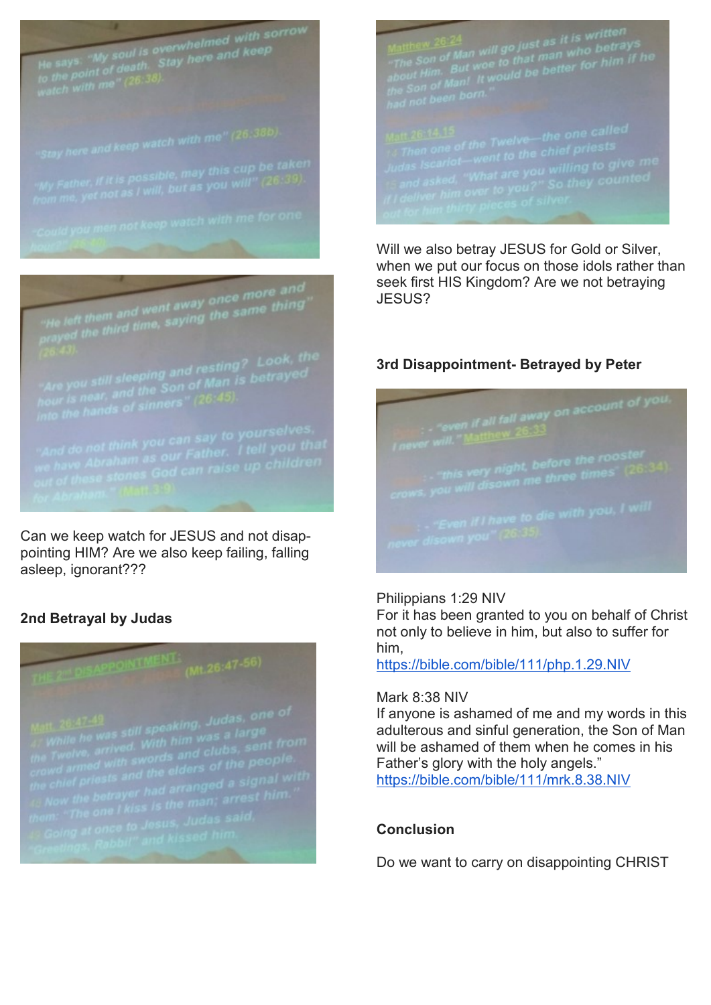He says, "My soul is overwhelmed with sorrow<br>to the point of death. Stay here and keep<br>watch with me"  $(26.38)$ .

"He left them and went away once more and<br>prayed the third time, saying the same thing"<br>(26.43).

Can we keep watch for JESUS and not disappointing HIM? Are we also keep failing, falling asleep, ignorant???

# **2nd Betrayal by Judas**



Matthew  $\frac{26:24}{\pi}$  as it is written<br>with a son of Man will go just as it is written<br>about Him. But woe to that man who betrays<br>about Him. But would be better for him if he<br>the Son of Man! It would be better for him if

Will we also betray JESUS for Gold or Silver, when we put our focus on those idols rather than seek first HIS Kingdom? Are we not betraying JESUS?

# **3rd Disappointment- Betrayed by Peter**

even if all fall away on account of you.

Philippians 1:29 NIV

For it has been granted to you on behalf of Christ not only to believe in him, but also to suffer for him,

<https://bible.com/bible/111/php.1.29.NIV>

### Mark 8:38 NIV

If anyone is ashamed of me and my words in this adulterous and sinful generation, the Son of Man will be ashamed of them when he comes in his Father's glory with the holy angels." <https://bible.com/bible/111/mrk.8.38.NIV>

# **Conclusion**

Do we want to carry on disappointing CHRIST